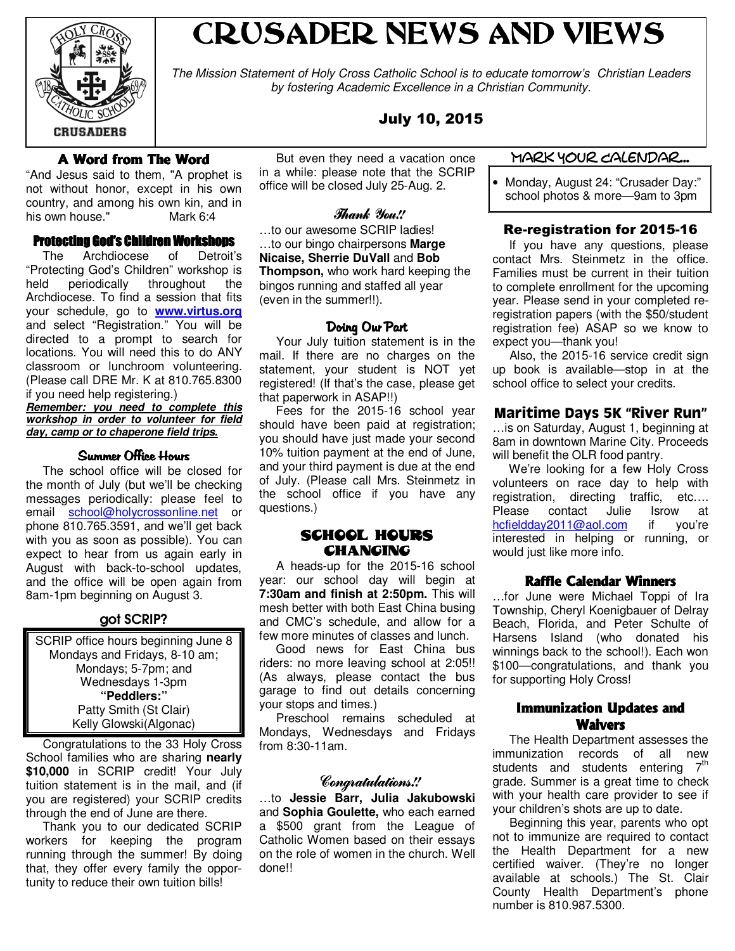

# CRUSADER NEWS AND VIEWS

The Mission Statement of Holy Cross Catholic School is to educate tomorrow's Christian Leaders by fostering Academic Excellence in a Christian Community.

# July 10, 2015

# A Word from The Word

"And Jesus said to them, "A prophet is not without honor, except in his own country, and among his own kin, and in his own house." Mark 6:4

## Protecting God's Children Workshops

 The Archdiocese of Detroit's "Protecting God's Children" workshop is held periodically throughout the Archdiocese. To find a session that fits your schedule, go to **www.virtus.org** and select "Registration." You will be directed to a prompt to search for locations. You will need this to do ANY classroom or lunchroom volunteering. (Please call DRE Mr. K at 810.765.8300 if you need help registering.) **Remember: you need to complete this** 

**workshop in order to volunteer for field day, camp or to chaperone field trips.**

## Summer Office Hours

 The school office will be closed for the month of July (but we'll be checking messages periodically: please feel to email school@holycrossonline.net or phone 810.765.3591, and we'll get back with you as soon as possible). You can expect to hear from us again early in August with back-to-school updates, and the office will be open again from 8am-1pm beginning on August 3.

# got SCRIP?

SCRIP office hours beginning June 8 Mondays and Fridays, 8-10 am; Mondays; 5-7pm; and Wednesdays 1-3pm **"Peddlers:"** Patty Smith (St Clair) Kelly Glowski(Algonac)

 Congratulations to the 33 Holy Cross School families who are sharing **nearly** \$10,000 in SCRIP credit! Your July tuition statement is in the mail, and (if you are registered) your SCRIP credits through the end of June are there.

 Thank you to our dedicated SCRIP workers for keeping the program running through the summer! By doing that, they offer every family the opportunity to reduce their own tuition bills!

 But even they need a vacation once in a while: please note that the SCRIP office will be closed July 25-Aug. 2.

## Thank You!!

…to our awesome SCRIP ladies! …to our bingo chairpersons **Marge Nicaise, Sherrie DuVall** and **Bob Thompson,** who work hard keeping the bingos running and staffed all year (even in the summer!!).

## Doing Our Part

 Your July tuition statement is in the mail. If there are no charges on the statement, your student is NOT yet registered! (If that's the case, please get that paperwork in ASAP!!)

 Fees for the 2015-16 school year should have been paid at registration; you should have just made your second 10% tuition payment at the end of June, and your third payment is due at the end of July. (Please call Mrs. Steinmetz in the school office if you have any questions.)

## SCHOOL HOURS **CHANGING**

 A heads-up for the 2015-16 school year: our school day will begin at **7:30am and finish at 2:50pm.** This will mesh better with both East China busing and CMC's schedule, and allow for a few more minutes of classes and lunch.

 Good news for East China bus riders: no more leaving school at 2:05!! (As always, please contact the bus garage to find out details concerning your stops and times.)

 Preschool remains scheduled at Mondays, Wednesdays and Fridays from 8:30-11am.

# Congratulations!!

…to **Jessie Barr, Julia Jakubowski**  and **Sophia Goulette,** who each earned a \$500 grant from the League of Catholic Women based on their essays on the role of women in the church. Well done!!

## Mark Your Calendar...

• Monday, August 24: "Crusader Day:" school photos & more—9am to 3pm

# Re-registration for 2015-16

 If you have any questions, please contact Mrs. Steinmetz in the office. Families must be current in their tuition to complete enrollment for the upcoming year. Please send in your completed reregistration papers (with the \$50/student registration fee) ASAP so we know to expect you—thank you!

 Also, the 2015-16 service credit sign up book is available—stop in at the school office to select your credits.

# Maritime Days 5K "River Run"

…is on Saturday, August 1, beginning at 8am in downtown Marine City. Proceeds will benefit the OLR food pantry.

 We're looking for a few Holy Cross volunteers on race day to help with registration, directing traffic, etc…. Please contact Julie Isrow at hcfieldday2011@aol.com if you're interested in helping or running, or would just like more info.

## **Raffle Calendar Winners**

…for June were Michael Toppi of Ira Township, Cheryl Koenigbauer of Delray Beach, Florida, and Peter Schulte of Harsens Island (who donated his winnings back to the school!). Each won \$100—congratulations, and thank you for supporting Holy Cross!

# Immunization Updates and Waivers

 The Health Department assesses the immunization records of all new students and students entering  $7<sup>th</sup>$ grade. Summer is a great time to check with your health care provider to see if your children's shots are up to date.

 Beginning this year, parents who opt not to immunize are required to contact the Health Department for a new certified waiver. (They're no longer available at schools.) The St. Clair County Health Department's phone number is 810.987.5300.